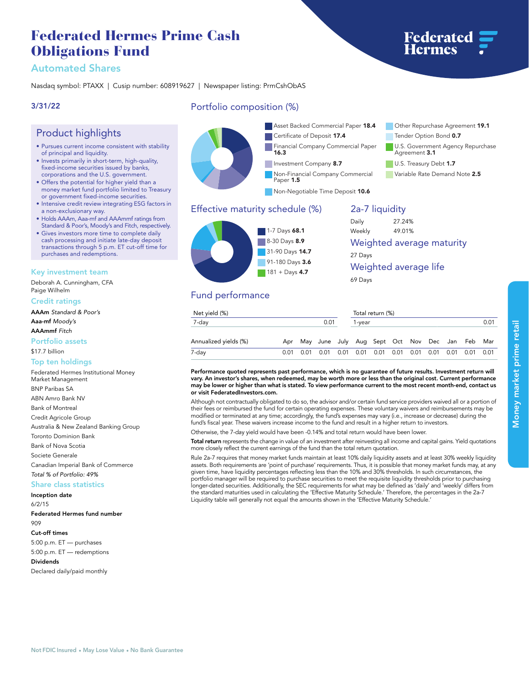# **Federated Hermes Prime Cash Obligations Fund**

## **Automated Shares**

**Nasdaq symbol: PTAXX | Cusip number: 608919627 | Newspaper listing: PrmCshObAS**

### **3/31/22**

### **Product highlights**

- **• Pursues current income consistent with stability of principal and liquidity.**
- **• Invests primarily in short-term, high-quality, fixed-income securities issued by banks, corporations and the U.S. government.**
- **• Offers the potential for higher yield than a money market fund portfolio limited to Treasury or government fixed-income securities.**
- **• Intensive credit review integrating ESG factors in a non-exclusionary way.**
- **• Holds AAAm, Aaa-mf and AAAmmf ratings from Standard & Poor's, Moody's and Fitch, respectively.**
- **• Gives investors more time to complete daily cash processing and initiate late-day deposit transactions through 5 p.m. ET cut-off time for purchases and redemptions.**

#### **Key investment team**

**Deborah A. Cunningham, CFA Paige Wilhelm**

**Credit ratings**

**AAAm** *Standard & Poor's*

**Aaa-mf** *Moody's*

**AAAmmf** *Fitch*

**Portfolio assets**

**\$17.7 billion**

#### **Top ten holdings**

**Federated Hermes Institutional Money Market Management BNP Paribas SA ABN Amro Bank NV Bank of Montreal Credit Agricole Group Australia & New Zealand Banking Group Toronto Dominion Bank Bank of Nova Scotia Societe Generale Canadian Imperial Bank of Commerce** *Total % of Portfolio: 49%*

#### **Share class statistics**

**Inception date 6/2/15 Federated Hermes fund number 909 Cut-off times 5:00 p.m. ET — purchases 5:00 p.m. ET — redemptions Dividends Declared daily/paid monthly**

### **Portfolio composition (%)**



# **Effective maturity schedule (%) 1-7 Days 68.1 8-30 Days 8.9 31-90 Days 14.7 91-180 Days 3.6 181 + Days 4.7**

## **2a-7 liquidity**

| Daily                     | 27.24% |  |
|---------------------------|--------|--|
| Weekly                    | 49.01% |  |
| Weighted average maturity |        |  |
| 27 Days                   |        |  |
| Weighted average life     |        |  |
| 69 Days                   |        |  |

### **Fund performance**

| Net yield (%)         | Total return (%) |      |                                                    |                |  |  |  |  |  |                  |  |
|-----------------------|------------------|------|----------------------------------------------------|----------------|--|--|--|--|--|------------------|--|
| 7-day                 |                  | 0.01 |                                                    | 0.01<br>1-vear |  |  |  |  |  |                  |  |
| Annualized yields (%) |                  |      | Apr May June July Aug Sept Oct Nov Dec Jan Feb Mar |                |  |  |  |  |  |                  |  |
| 7-day                 | 0.01             |      | 0.01  0.01  0.01  0.01  0.01  0.01  0.01  0.01     |                |  |  |  |  |  | 0.01  0.01  0.01 |  |

**Performance quoted represents past performance, which is no guarantee of future results. Investment return will vary. An investor's shares, when redeemed, may be worth more or less than the original cost. Current performance may be lower or higher than what is stated. To view performance current to the most recent month-end, contact us or visit [FederatedInvestors.com.](www.federatedinvestors.com)**

**Although not contractually obligated to do so, the advisor and/or certain fund service providers waived all or a portion of their fees or reimbursed the fund for certain operating expenses. These voluntary waivers and reimbursements may be modified or terminated at any time; accordingly, the fund's expenses may vary (i.e., increase or decrease) during the fund's fiscal year. These waivers increase income to the fund and result in a higher return to investors.**

**Otherwise, the 7-day yield would have been -0.14% and total return would have been lower.**

**Total return represents the change in value of an investment after reinvesting all income and capital gains. Yield quotations more closely reflect the current earnings of the fund than the total return quotation.**

**Rule 2a-7 requires that money market funds maintain at least 10% daily liquidity assets and at least 30% weekly liquidity assets. Both requirements are 'point of purchase' requirements. Thus, it is possible that money market funds may, at any given time, have liquidity percentages reflecting less than the 10% and 30% thresholds. In such circumstances, the portfolio manager will be required to purchase securities to meet the requisite liquidity thresholds prior to purchasing longer-dated securities. Additionally, the SEC requirements for what may be defined as 'daily' and 'weekly' differs from the standard maturities used in calculating the 'Effective Maturity Schedule.' Therefore, the percentages in the 2a-7** Liquidity table will generally not equal the amounts shown in the 'Effective Maturity Schedul<sup>,</sup>

**Not FDIC Insured • May Lose Value • No Bank Guarantee**